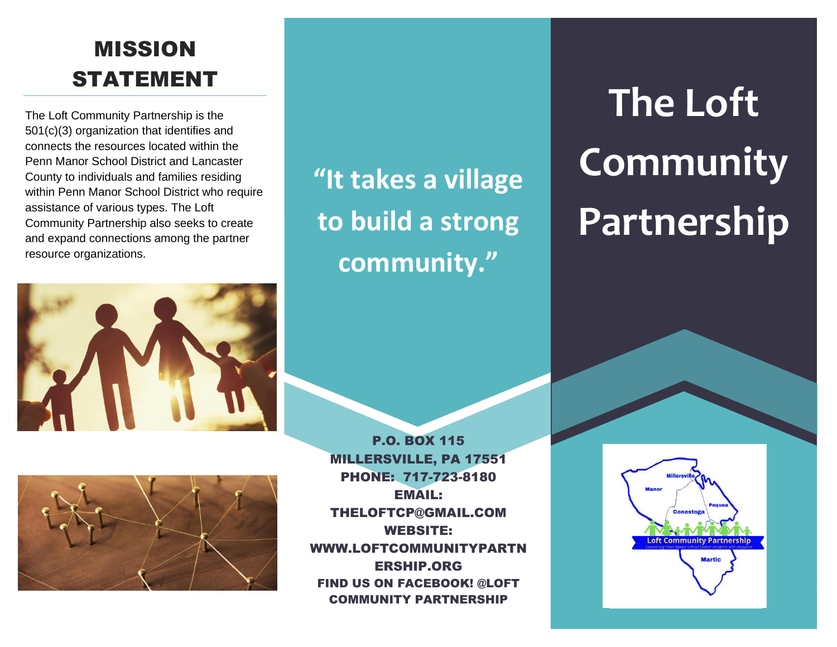# MISSION STATEMENT

The Loft Community Partnership is the 501(c)(3) organization that identifies and connects the resources located within the Penn Manor School District and Lancaster County to individuals and families residing within Penn Manor School District who require assistance of various types. The Loft Community Partnership also seeks to create and expand connections among the partner resource organizations.





**"It takes a village to build a strong community."**

P.O. BOX 115 MILLERSVILLE, PA 17551 PHONE: 717-723-8180 EMAIL: THELOFTCP@GMAIL.COM WEBSITE: WWW.LOFTCOMMUNITYPARTN ERSHIP.ORG FIND US ON FACEBOOK! @LOFT COMMUNITY PARTNERSHIP

**The Loft Community Partnership**